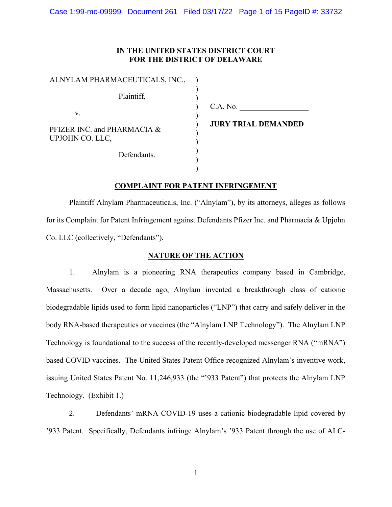## IN THE UNITED STATES DISTRICT COURT FOR THE DISTRICT OF DELAWARE

) ) ) ) ) ) ) ) )  $\overline{)}$ )

| ALNYLAM PHARMACEUTICALS, INC.,                 |
|------------------------------------------------|
| Plaintiff,                                     |
| V.                                             |
| PFIZER INC. and PHARMACIA &<br>UPJOHN CO. LLC, |
| Defendants.                                    |

C.A. No.

JURY TRIAL DEMANDED

# COMPLAINT FOR PATENT INFRINGEMENT

 Plaintiff Alnylam Pharmaceuticals, Inc. ("Alnylam"), by its attorneys, alleges as follows for its Complaint for Patent Infringement against Defendants Pfizer Inc. and Pharmacia & Upjohn Co. LLC (collectively, "Defendants").

## NATURE OF THE ACTION

1. Alnylam is a pioneering RNA therapeutics company based in Cambridge, Massachusetts. Over a decade ago, Alnylam invented a breakthrough class of cationic biodegradable lipids used to form lipid nanoparticles ("LNP") that carry and safely deliver in the body RNA-based therapeutics or vaccines (the "Alnylam LNP Technology"). The Alnylam LNP Technology is foundational to the success of the recently-developed messenger RNA ("mRNA") based COVID vaccines. The United States Patent Office recognized Alnylam's inventive work, issuing United States Patent No. 11,246,933 (the "'933 Patent") that protects the Alnylam LNP Technology. (Exhibit 1.)

2. Defendants' mRNA COVID-19 uses a cationic biodegradable lipid covered by '933 Patent. Specifically, Defendants infringe Alnylam's '933 Patent through the use of ALC-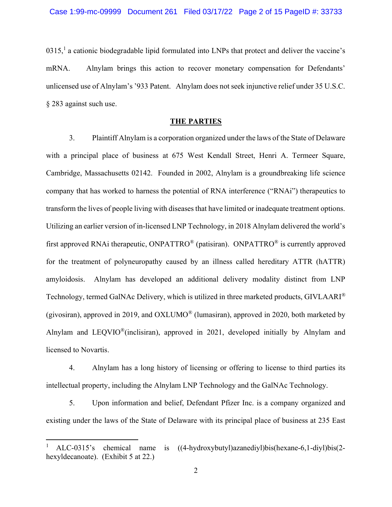$0315$ ,<sup>1</sup> a cationic biodegradable lipid formulated into LNPs that protect and deliver the vaccine's mRNA. Alnylam brings this action to recover monetary compensation for Defendants' unlicensed use of Alnylam's '933 Patent. Alnylam does not seek injunctive relief under 35 U.S.C. § 283 against such use.

### THE PARTIES

3. Plaintiff Alnylam is a corporation organized under the laws of the State of Delaware with a principal place of business at 675 West Kendall Street, Henri A. Termeer Square, Cambridge, Massachusetts 02142. Founded in 2002, Alnylam is a groundbreaking life science company that has worked to harness the potential of RNA interference ("RNAi") therapeutics to transform the lives of people living with diseases that have limited or inadequate treatment options. Utilizing an earlier version of in-licensed LNP Technology, in 2018 Alnylam delivered the world's first approved RNAi therapeutic, ONPATTRO<sup>®</sup> (patisiran). ONPATTRO<sup>®</sup> is currently approved for the treatment of polyneuropathy caused by an illness called hereditary ATTR (hATTR) amyloidosis. Alnylam has developed an additional delivery modality distinct from LNP Technology, termed GalNAc Delivery, which is utilized in three marketed products, GIVLAARI® (givosiran), approved in 2019, and OXLUMO® (lumasiran), approved in 2020, both marketed by Alnylam and LEQVIO®(inclisiran), approved in 2021, developed initially by Alnylam and licensed to Novartis.

4. Alnylam has a long history of licensing or offering to license to third parties its intellectual property, including the Alnylam LNP Technology and the GalNAc Technology.

5. Upon information and belief, Defendant Pfizer Inc. is a company organized and existing under the laws of the State of Delaware with its principal place of business at 235 East

<sup>1</sup> ALC-0315's chemical name is ((4-hydroxybutyl)azanediyl)bis(hexane-6,1-diyl)bis(2 hexyldecanoate). (Exhibit 5 at 22.)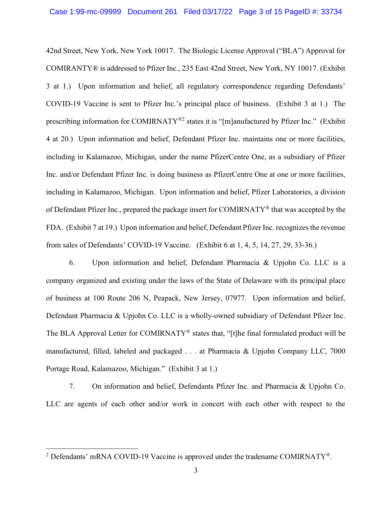42nd Street, New York, New York 10017. The Biologic License Approval ("BLA") Approval for COMIRANTY® is addressed to Pfizer Inc., 235 East 42nd Street, New York, NY 10017. (Exhibit 3 at 1.) Upon information and belief, all regulatory correspondence regarding Defendants' COVID-19 Vaccine is sent to Pfizer Inc.'s principal place of business. (Exhibit 3 at 1.) The prescribing information for COMIRNATY®2 states it is "[m]anufactured by Pfizer Inc." (Exhibit 4 at 20.) Upon information and belief, Defendant Pfizer Inc. maintains one or more facilities, including in Kalamazoo, Michigan, under the name PfizerCentre One, as a subsidiary of Pfizer Inc. and/or Defendant Pfizer Inc. is doing business as PfizerCentre One at one or more facilities, including in Kalamazoo, Michigan. Upon information and belief, Pfizer Laboratories, a division of Defendant Pfizer Inc., prepared the package insert for COMIRNATY® that was accepted by the FDA. (Exhibit 7 at 19.) Upon information and belief, Defendant Pfizer Inc. recognizes the revenue from sales of Defendants' COVID-19 Vaccine. (Exhibit 6 at 1, 4, 5, 14, 27, 29, 33-36.)

6. Upon information and belief, Defendant Pharmacia & Upjohn Co. LLC is a company organized and existing under the laws of the State of Delaware with its principal place of business at 100 Route 206 N, Peapack, New Jersey, 07977. Upon information and belief, Defendant Pharmacia & Upjohn Co. LLC is a wholly-owned subsidiary of Defendant Pfizer Inc. The BLA Approval Letter for COMIRNATY<sup>®</sup> states that, "[t]he final formulated product will be manufactured, filled, labeled and packaged . . . at Pharmacia & Upjohn Company LLC, 7000 Portage Road, Kalamazoo, Michigan." (Exhibit 3 at 1.)

7. On information and belief, Defendants Pfizer Inc. and Pharmacia & Upjohn Co. LLC are agents of each other and/or work in concert with each other with respect to the

<sup>&</sup>lt;sup>2</sup> Defendants' mRNA COVID-19 Vaccine is approved under the tradename COMIRNATY<sup>®</sup>.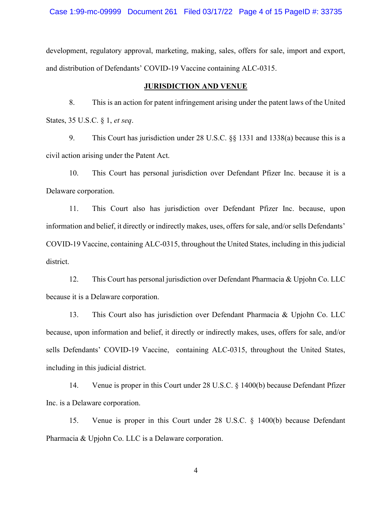development, regulatory approval, marketing, making, sales, offers for sale, import and export, and distribution of Defendants' COVID-19 Vaccine containing ALC-0315.

## JURISDICTION AND VENUE

8. This is an action for patent infringement arising under the patent laws of the United States, 35 U.S.C. § 1, et seq.

9. This Court has jurisdiction under 28 U.S.C. §§ 1331 and 1338(a) because this is a civil action arising under the Patent Act.

10. This Court has personal jurisdiction over Defendant Pfizer Inc. because it is a Delaware corporation.

11. This Court also has jurisdiction over Defendant Pfizer Inc. because, upon information and belief, it directly or indirectly makes, uses, offers for sale, and/or sells Defendants' COVID-19 Vaccine, containing ALC-0315, throughout the United States, including in this judicial district.

12. This Court has personal jurisdiction over Defendant Pharmacia & Upjohn Co. LLC because it is a Delaware corporation.

13. This Court also has jurisdiction over Defendant Pharmacia & Upjohn Co. LLC because, upon information and belief, it directly or indirectly makes, uses, offers for sale, and/or sells Defendants' COVID-19 Vaccine, containing ALC-0315, throughout the United States, including in this judicial district.

14. Venue is proper in this Court under 28 U.S.C. § 1400(b) because Defendant Pfizer Inc. is a Delaware corporation.

15. Venue is proper in this Court under 28 U.S.C. § 1400(b) because Defendant Pharmacia & Upjohn Co. LLC is a Delaware corporation.

4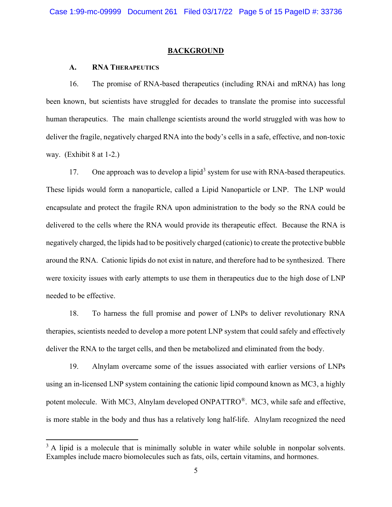#### **BACKGROUND**

#### A. RNA THERAPEUTICS

16. The promise of RNA-based therapeutics (including RNAi and mRNA) has long been known, but scientists have struggled for decades to translate the promise into successful human therapeutics. The main challenge scientists around the world struggled with was how to deliver the fragile, negatively charged RNA into the body's cells in a safe, effective, and non-toxic way. (Exhibit 8 at 1-2.)

17. One approach was to develop a lipid<sup>3</sup> system for use with RNA-based therapeutics. These lipids would form a nanoparticle, called a Lipid Nanoparticle or LNP. The LNP would encapsulate and protect the fragile RNA upon administration to the body so the RNA could be delivered to the cells where the RNA would provide its therapeutic effect. Because the RNA is negatively charged, the lipids had to be positively charged (cationic) to create the protective bubble around the RNA. Cationic lipids do not exist in nature, and therefore had to be synthesized. There were toxicity issues with early attempts to use them in therapeutics due to the high dose of LNP needed to be effective.

18. To harness the full promise and power of LNPs to deliver revolutionary RNA therapies, scientists needed to develop a more potent LNP system that could safely and effectively deliver the RNA to the target cells, and then be metabolized and eliminated from the body.

19. Alnylam overcame some of the issues associated with earlier versions of LNPs using an in-licensed LNP system containing the cationic lipid compound known as MC3, a highly potent molecule. With MC3, Alnylam developed ONPATTRO®. MC3, while safe and effective, is more stable in the body and thus has a relatively long half-life. Alnylam recognized the need

 $3$  A lipid is a molecule that is minimally soluble in water while soluble in nonpolar solvents. Examples include macro biomolecules such as fats, oils, certain vitamins, and hormones.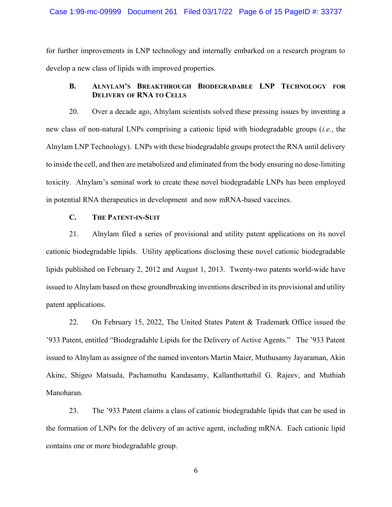#### Case 1:99-mc-09999 Document 261 Filed 03/17/22 Page 6 of 15 PageID #: 33737

for further improvements in LNP technology and internally embarked on a research program to develop a new class of lipids with improved properties.

## B. ALNYLAM'S BREAKTHROUGH BIODEGRADABLE LNP TECHNOLOGY FOR DELIVERY OF RNA TO CELLS

20. Over a decade ago, Alnylam scientists solved these pressing issues by inventing a new class of non-natural LNPs comprising a cationic lipid with biodegradable groups (i.e., the Alnylam LNP Technology). LNPs with these biodegradable groups protect the RNA until delivery to inside the cell, and then are metabolized and eliminated from the body ensuring no dose-limiting toxicity. Alnylam's seminal work to create these novel biodegradable LNPs has been employed in potential RNA therapeutics in development and now mRNA-based vaccines.

## C. THE PATENT-IN-SUIT

21. Alnylam filed a series of provisional and utility patent applications on its novel cationic biodegradable lipids. Utility applications disclosing these novel cationic biodegradable lipids published on February 2, 2012 and August 1, 2013. Twenty-two patents world-wide have issued to Alnylam based on these groundbreaking inventions described in its provisional and utility patent applications.

22. On February 15, 2022, The United States Patent & Trademark Office issued the '933 Patent, entitled "Biodegradable Lipids for the Delivery of Active Agents." The '933 Patent issued to Alnylam as assignee of the named inventors Martin Maier, Muthusamy Jayaraman, Akin Akinc, Shigeo Matsuda, Pachamuthu Kandasamy, Kallanthottathil G. Rajeev, and Muthiah Manoharan.

23. The '933 Patent claims a class of cationic biodegradable lipids that can be used in the formation of LNPs for the delivery of an active agent, including mRNA. Each cationic lipid contains one or more biodegradable group.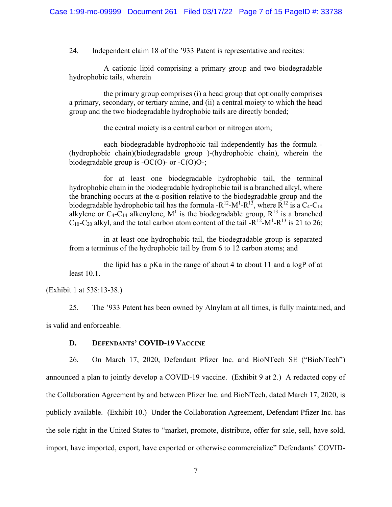24. Independent claim 18 of the '933 Patent is representative and recites:

A cationic lipid comprising a primary group and two biodegradable hydrophobic tails, wherein

the primary group comprises (i) a head group that optionally comprises a primary, secondary, or tertiary amine, and (ii) a central moiety to which the head group and the two biodegradable hydrophobic tails are directly bonded;

the central moiety is a central carbon or nitrogen atom;

each biodegradable hydrophobic tail independently has the formula - (hydrophobic chain)(biodegradable group )-(hydrophobic chain), wherein the biodegradable group is  $-OC(O)$ - or  $-C(O)O$ -;

for at least one biodegradable hydrophobic tail, the terminal hydrophobic chain in the biodegradable hydrophobic tail is a branched alkyl, where the branching occurs at the  $\alpha$ -position relative to the biodegradable group and the biodegradable hydrophobic tail has the formula - $R^{12}$ - $M^1$ - $R^{13}$ , where  $R^{12}$  is a C<sub>4</sub>-C<sub>14</sub> alkylene or C<sub>4</sub>-C<sub>14</sub> alkenylene, M<sup>1</sup> is the biodegradable group, R<sup>13</sup> is a branched  $C_{10}$ -C<sub>20</sub> alkyl, and the total carbon atom content of the tail -R<sup>12</sup>-M<sup>1</sup>-R<sup>13</sup> is 21 to 26;

in at least one hydrophobic tail, the biodegradable group is separated from a terminus of the hydrophobic tail by from 6 to 12 carbon atoms; and

the lipid has a pKa in the range of about 4 to about 11 and a logP of at least 10.1.

(Exhibit 1 at 538:13-38.)

25. The '933 Patent has been owned by Alnylam at all times, is fully maintained, and is valid and enforceable.

#### D. DEFENDANTS' COVID-19 VACCINE

26. On March 17, 2020, Defendant Pfizer Inc. and BioNTech SE ("BioNTech") announced a plan to jointly develop a COVID-19 vaccine. (Exhibit 9 at 2.) A redacted copy of the Collaboration Agreement by and between Pfizer Inc. and BioNTech, dated March 17, 2020, is publicly available. (Exhibit 10.) Under the Collaboration Agreement, Defendant Pfizer Inc. has the sole right in the United States to "market, promote, distribute, offer for sale, sell, have sold, import, have imported, export, have exported or otherwise commercialize" Defendants' COVID-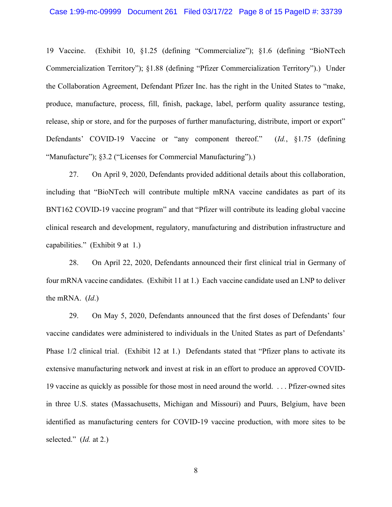19 Vaccine. (Exhibit 10, §1.25 (defining "Commercialize"); §1.6 (defining "BioNTech Commercialization Territory"); §1.88 (defining "Pfizer Commercialization Territory").) Under the Collaboration Agreement, Defendant Pfizer Inc. has the right in the United States to "make, produce, manufacture, process, fill, finish, package, label, perform quality assurance testing, release, ship or store, and for the purposes of further manufacturing, distribute, import or export" Defendants' COVID-19 Vaccine or "any component thereof." (Id., §1.75 (defining "Manufacture"); §3.2 ("Licenses for Commercial Manufacturing").)

27. On April 9, 2020, Defendants provided additional details about this collaboration, including that "BioNTech will contribute multiple mRNA vaccine candidates as part of its BNT162 COVID-19 vaccine program" and that "Pfizer will contribute its leading global vaccine clinical research and development, regulatory, manufacturing and distribution infrastructure and capabilities." (Exhibit 9 at 1.)

28. On April 22, 2020, Defendants announced their first clinical trial in Germany of four mRNA vaccine candidates. (Exhibit 11 at 1.) Each vaccine candidate used an LNP to deliver the mRNA. (Id.)

29. On May 5, 2020, Defendants announced that the first doses of Defendants' four vaccine candidates were administered to individuals in the United States as part of Defendants' Phase 1/2 clinical trial. (Exhibit 12 at 1.) Defendants stated that "Pfizer plans to activate its extensive manufacturing network and invest at risk in an effort to produce an approved COVID-19 vaccine as quickly as possible for those most in need around the world. . . . Pfizer-owned sites in three U.S. states (Massachusetts, Michigan and Missouri) and Puurs, Belgium, have been identified as manufacturing centers for COVID-19 vaccine production, with more sites to be selected." (*Id.* at 2.)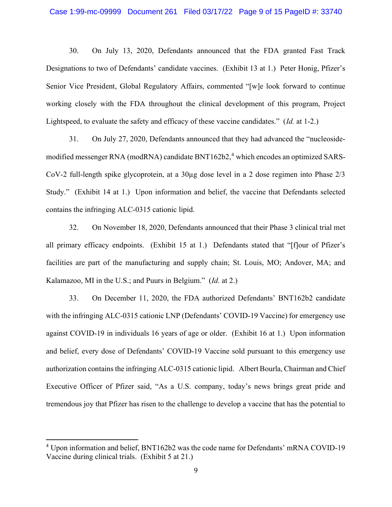30. On July 13, 2020, Defendants announced that the FDA granted Fast Track Designations to two of Defendants' candidate vaccines. (Exhibit 13 at 1.) Peter Honig, Pfizer's Senior Vice President, Global Regulatory Affairs, commented "[w]e look forward to continue working closely with the FDA throughout the clinical development of this program, Project Lightspeed, to evaluate the safety and efficacy of these vaccine candidates." (Id. at 1-2.)

31. On July 27, 2020, Defendants announced that they had advanced the "nucleosidemodified messenger RNA (modRNA) candidate BNT162b2,<sup>4</sup> which encodes an optimized SARS-CoV-2 full-length spike glycoprotein, at a 30µg dose level in a 2 dose regimen into Phase 2/3 Study." (Exhibit 14 at 1.) Upon information and belief, the vaccine that Defendants selected contains the infringing ALC-0315 cationic lipid.

32. On November 18, 2020, Defendants announced that their Phase 3 clinical trial met all primary efficacy endpoints. (Exhibit 15 at 1.) Defendants stated that "[f]our of Pfizer's facilities are part of the manufacturing and supply chain; St. Louis, MO; Andover, MA; and Kalamazoo, MI in the U.S.; and Puurs in Belgium." (Id. at 2.)

33. On December 11, 2020, the FDA authorized Defendants' BNT162b2 candidate with the infringing ALC-0315 cationic LNP (Defendants' COVID-19 Vaccine) for emergency use against COVID-19 in individuals 16 years of age or older. (Exhibit 16 at 1.) Upon information and belief, every dose of Defendants' COVID-19 Vaccine sold pursuant to this emergency use authorization contains the infringing ALC-0315 cationic lipid. Albert Bourla, Chairman and Chief Executive Officer of Pfizer said, "As a U.S. company, today's news brings great pride and tremendous joy that Pfizer has risen to the challenge to develop a vaccine that has the potential to

<sup>&</sup>lt;sup>4</sup> Upon information and belief, BNT162b2 was the code name for Defendants' mRNA COVID-19 Vaccine during clinical trials. (Exhibit 5 at 21.)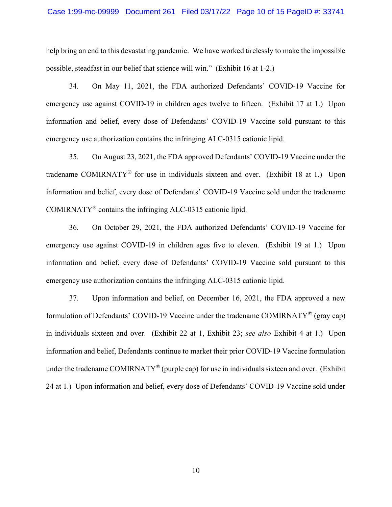#### Case 1:99-mc-09999 Document 261 Filed 03/17/22 Page 10 of 15 PageID #: 33741

help bring an end to this devastating pandemic. We have worked tirelessly to make the impossible possible, steadfast in our belief that science will win." (Exhibit 16 at 1-2.)

34. On May 11, 2021, the FDA authorized Defendants' COVID-19 Vaccine for emergency use against COVID-19 in children ages twelve to fifteen. (Exhibit 17 at 1.) Upon information and belief, every dose of Defendants' COVID-19 Vaccine sold pursuant to this emergency use authorization contains the infringing ALC-0315 cationic lipid.

35. On August 23, 2021, the FDA approved Defendants' COVID-19 Vaccine under the tradename COMIRNATY® for use in individuals sixteen and over. (Exhibit 18 at 1.) Upon information and belief, every dose of Defendants' COVID-19 Vaccine sold under the tradename COMIRNATY® contains the infringing ALC-0315 cationic lipid.

36. On October 29, 2021, the FDA authorized Defendants' COVID-19 Vaccine for emergency use against COVID-19 in children ages five to eleven. (Exhibit 19 at 1.) Upon information and belief, every dose of Defendants' COVID-19 Vaccine sold pursuant to this emergency use authorization contains the infringing ALC-0315 cationic lipid.

37. Upon information and belief, on December 16, 2021, the FDA approved a new formulation of Defendants' COVID-19 Vaccine under the tradename COMIRNATY® (gray cap) in individuals sixteen and over. (Exhibit 22 at 1, Exhibit 23; see also Exhibit 4 at 1.) Upon information and belief, Defendants continue to market their prior COVID-19 Vaccine formulation under the tradename COMIRNATY® (purple cap) for use in individuals sixteen and over. (Exhibit 24 at 1.) Upon information and belief, every dose of Defendants' COVID-19 Vaccine sold under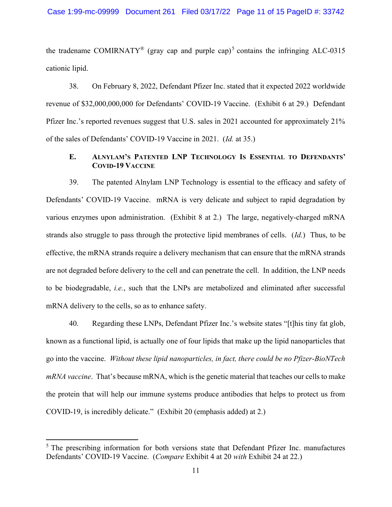the tradename COMIRNATY<sup>®</sup> (gray cap and purple cap)<sup>5</sup> contains the infringing ALC-0315 cationic lipid.

38. On February 8, 2022, Defendant Pfizer Inc. stated that it expected 2022 worldwide revenue of \$32,000,000,000 for Defendants' COVID-19 Vaccine. (Exhibit 6 at 29.) Defendant Pfizer Inc.'s reported revenues suggest that U.S. sales in 2021 accounted for approximately 21% of the sales of Defendants' COVID-19 Vaccine in 2021. (Id. at 35.)

# E. ALNYLAM'S PATENTED LNP TECHNOLOGY IS ESSENTIAL TO DEFENDANTS' COVID-19 VACCINE

39. The patented Alnylam LNP Technology is essential to the efficacy and safety of Defendants' COVID-19 Vaccine. mRNA is very delicate and subject to rapid degradation by various enzymes upon administration. (Exhibit 8 at 2.) The large, negatively-charged mRNA strands also struggle to pass through the protective lipid membranes of cells. (Id.) Thus, to be effective, the mRNA strands require a delivery mechanism that can ensure that the mRNA strands are not degraded before delivery to the cell and can penetrate the cell. In addition, the LNP needs to be biodegradable, i.e., such that the LNPs are metabolized and eliminated after successful mRNA delivery to the cells, so as to enhance safety.

40. Regarding these LNPs, Defendant Pfizer Inc.'s website states "[t]his tiny fat glob, known as a functional lipid, is actually one of four lipids that make up the lipid nanoparticles that go into the vaccine. Without these lipid nanoparticles, in fact, there could be no Pfizer-BioNTech mRNA vaccine. That's because mRNA, which is the genetic material that teaches our cells to make the protein that will help our immune systems produce antibodies that helps to protect us from COVID-19, is incredibly delicate." (Exhibit 20 (emphasis added) at 2.)

<sup>&</sup>lt;sup>5</sup> The prescribing information for both versions state that Defendant Pfizer Inc. manufactures Defendants' COVID-19 Vaccine. (Compare Exhibit 4 at 20 with Exhibit 24 at 22.)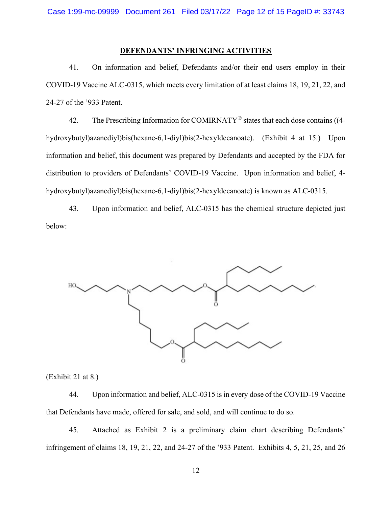# DEFENDANTS' INFRINGING ACTIVITIES

41. On information and belief, Defendants and/or their end users employ in their COVID-19 Vaccine ALC-0315, which meets every limitation of at least claims 18, 19, 21, 22, and 24-27 of the '933 Patent.

42. The Prescribing Information for COMIRNATY<sup>®</sup> states that each dose contains ((4hydroxybutyl)azanediyl)bis(hexane-6,1-diyl)bis(2-hexyldecanoate). (Exhibit 4 at 15.) Upon information and belief, this document was prepared by Defendants and accepted by the FDA for distribution to providers of Defendants' COVID-19 Vaccine. Upon information and belief, 4 hydroxybutyl)azanediyl)bis(hexane-6,1-diyl)bis(2-hexyldecanoate) is known as ALC-0315.

43. Upon information and belief, ALC-0315 has the chemical structure depicted just below:



(Exhibit 21 at 8.)

44. Upon information and belief, ALC-0315 is in every dose of the COVID-19 Vaccine that Defendants have made, offered for sale, and sold, and will continue to do so.

45. Attached as Exhibit 2 is a preliminary claim chart describing Defendants' infringement of claims 18, 19, 21, 22, and 24-27 of the '933 Patent. Exhibits 4, 5, 21, 25, and 26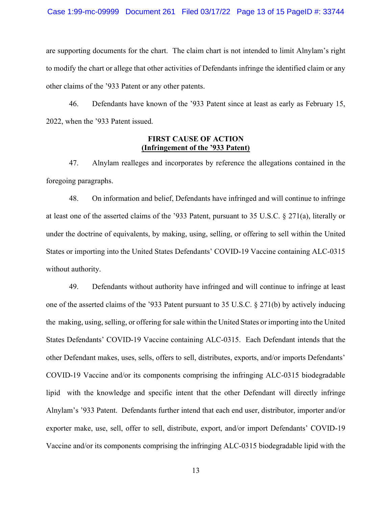are supporting documents for the chart. The claim chart is not intended to limit Alnylam's right to modify the chart or allege that other activities of Defendants infringe the identified claim or any other claims of the '933 Patent or any other patents.

46. Defendants have known of the '933 Patent since at least as early as February 15, 2022, when the '933 Patent issued.

## FIRST CAUSE OF ACTION (Infringement of the '933 Patent)

47. Alnylam realleges and incorporates by reference the allegations contained in the foregoing paragraphs.

48. On information and belief, Defendants have infringed and will continue to infringe at least one of the asserted claims of the '933 Patent, pursuant to 35 U.S.C. § 271(a), literally or under the doctrine of equivalents, by making, using, selling, or offering to sell within the United States or importing into the United States Defendants' COVID-19 Vaccine containing ALC-0315 without authority.

49. Defendants without authority have infringed and will continue to infringe at least one of the asserted claims of the '933 Patent pursuant to 35 U.S.C. § 271(b) by actively inducing the making, using, selling, or offering for sale within the United States or importing into the United States Defendants' COVID-19 Vaccine containing ALC-0315. Each Defendant intends that the other Defendant makes, uses, sells, offers to sell, distributes, exports, and/or imports Defendants' COVID-19 Vaccine and/or its components comprising the infringing ALC-0315 biodegradable lipid with the knowledge and specific intent that the other Defendant will directly infringe Alnylam's '933 Patent. Defendants further intend that each end user, distributor, importer and/or exporter make, use, sell, offer to sell, distribute, export, and/or import Defendants' COVID-19 Vaccine and/or its components comprising the infringing ALC-0315 biodegradable lipid with the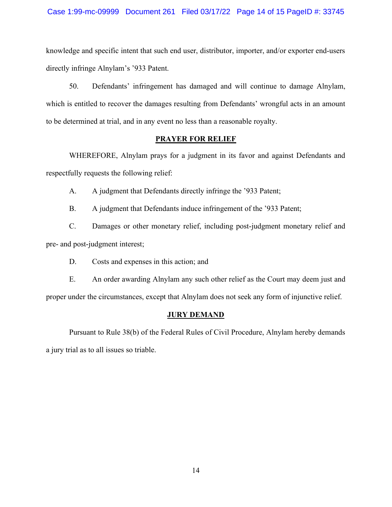#### Case 1:99-mc-09999 Document 261 Filed 03/17/22 Page 14 of 15 PageID #: 33745

knowledge and specific intent that such end user, distributor, importer, and/or exporter end-users directly infringe Alnylam's '933 Patent.

50. Defendants' infringement has damaged and will continue to damage Alnylam, which is entitled to recover the damages resulting from Defendants' wrongful acts in an amount to be determined at trial, and in any event no less than a reasonable royalty.

### PRAYER FOR RELIEF

 WHEREFORE, Alnylam prays for a judgment in its favor and against Defendants and respectfully requests the following relief:

A. A judgment that Defendants directly infringe the '933 Patent;

B. A judgment that Defendants induce infringement of the '933 Patent;

C. Damages or other monetary relief, including post-judgment monetary relief and pre- and post-judgment interest;

D. Costs and expenses in this action; and

E. An order awarding Alnylam any such other relief as the Court may deem just and proper under the circumstances, except that Alnylam does not seek any form of injunctive relief.

#### JURY DEMAND

 Pursuant to Rule 38(b) of the Federal Rules of Civil Procedure, Alnylam hereby demands a jury trial as to all issues so triable.